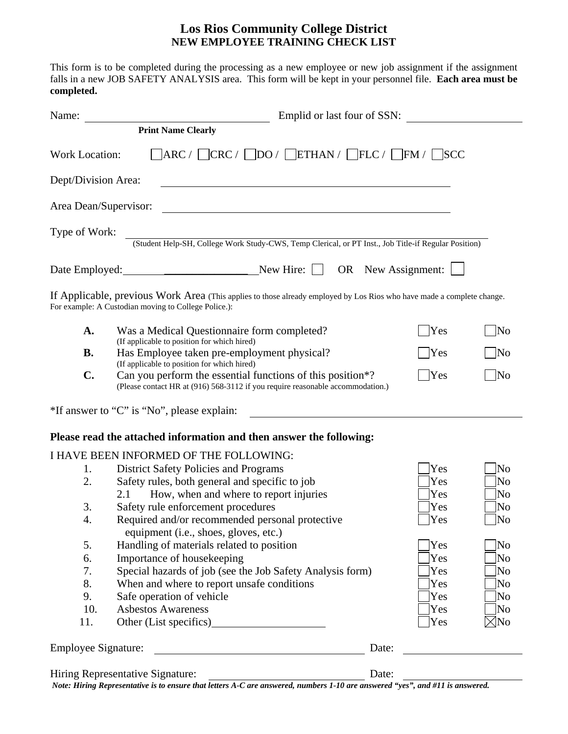# **Los Rios Community College District NEW EMPLOYEE TRAINING CHECK LIST**

This form is to be completed during the processing as a new employee or new job assignment if the assignment falls in a new JOB SAFETY ANALYSIS area. This form will be kept in your personnel file. **Each area must be completed.**

| Name:                      |                                                                                                                                                                                                   | Emplid or last four of SSN: |               |                     |
|----------------------------|---------------------------------------------------------------------------------------------------------------------------------------------------------------------------------------------------|-----------------------------|---------------|---------------------|
|                            | <b>Print Name Clearly</b>                                                                                                                                                                         |                             |               |                     |
| Work Location:             | $\vert \text{ARC} / \vert \text{CRC} / \vert \text{DO} / \vert \text{ETHAN} / \vert \text{FLC} / \vert \text{FM} / \vert \text{SCC}$                                                              |                             |               |                     |
| Dept/Division Area:        | <u> 1980 - Johann Stoff, deutscher Stoff, der Stoff, der Stoff, der Stoff, der Stoff, der Stoff, der Stoff, der S</u>                                                                             |                             |               |                     |
| Area Dean/Supervisor:      | <u> 1980 - Johann Stoff, deutscher Stoff, der Stoff, der Stoff, der Stoff, der Stoff, der Stoff, der Stoff, der S</u>                                                                             |                             |               |                     |
| Type of Work:              | (Student Help-SH, College Work Study-CWS, Temp Clerical, or PT Inst., Job Title-if Regular Position)                                                                                              |                             |               |                     |
|                            |                                                                                                                                                                                                   |                             |               |                     |
|                            | If Applicable, previous Work Area (This applies to those already employed by Los Rios who have made a complete change.<br>For example: A Custodian moving to College Police.):                    |                             |               |                     |
| A.                         | Was a Medical Questionnaire form completed?<br>(If applicable to position for which hired)                                                                                                        |                             | <b>Yes</b>    | No                  |
| <b>B.</b>                  | Has Employee taken pre-employment physical?<br>(If applicable to position for which hired)                                                                                                        |                             | <b>Yes</b>    | $\overline{\rm No}$ |
| $\mathbf{C}$ .             | Can you perform the essential functions of this position <sup>*?</sup><br>(Please contact HR at (916) 568-3112 if you require reasonable accommodation.)                                          |                             | $\exists$ Yes | $\overline{\rm No}$ |
|                            | *If answer to "C" is "No", please explain:                                                                                                                                                        |                             |               |                     |
|                            | Please read the attached information and then answer the following:                                                                                                                               |                             |               |                     |
|                            | I HAVE BEEN INFORMED OF THE FOLLOWING:                                                                                                                                                            |                             |               |                     |
| 1.                         | <b>District Safety Policies and Programs</b>                                                                                                                                                      |                             | Yes           | No                  |
| 2.                         | Safety rules, both general and specific to job                                                                                                                                                    |                             | Yes           | No                  |
|                            | How, when and where to report injuries<br>2.1                                                                                                                                                     |                             | Yes           | No                  |
| 3.                         | Safety rule enforcement procedures                                                                                                                                                                |                             | Yes           | No                  |
| 4.                         | Required and/or recommended personal protective<br>equipment (i.e., shoes, gloves, etc.)                                                                                                          |                             | $\bigvee$ Yes | $\sqrt{\text{No}}$  |
| 5.                         | Handling of materials related to position                                                                                                                                                         |                             | Yes           | No                  |
| 6.                         | Importance of housekeeping                                                                                                                                                                        |                             | Yes           | No                  |
| 7.                         | Special hazards of job (see the Job Safety Analysis form)                                                                                                                                         |                             | Yes           | No                  |
| 8.                         | When and where to report unsafe conditions                                                                                                                                                        |                             | Yes           | No                  |
| 9.                         | Safe operation of vehicle                                                                                                                                                                         |                             | Yes           | No                  |
| 10.                        | <b>Asbestos Awareness</b>                                                                                                                                                                         |                             | Yes           | No                  |
| 11.                        |                                                                                                                                                                                                   |                             | Yes           | $\times$ No         |
| <b>Employee Signature:</b> |                                                                                                                                                                                                   | Date:                       |               |                     |
|                            | Hiring Representative Signature:<br>Thing Representative Signature.<br>Note: Hiring Representative is to ensure that letters A.C are answered numbers 1.10 are answered "ves" and #11 is answered | Date:                       |               |                     |

*Note: Hiring Representative is to ensure that letters A-C are answered, numbers 1-10 are answered "yes", and #11 is answered.*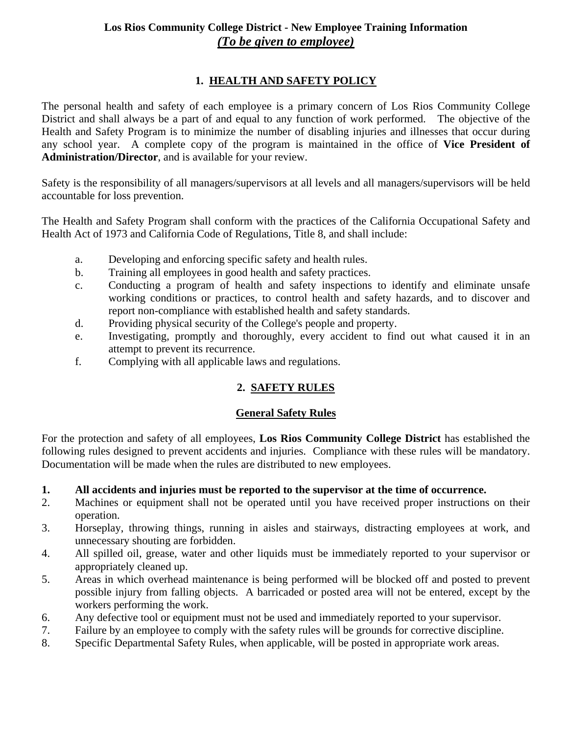# **Los Rios Community College District - New Employee Training Information**  *(To be given to employee)*

# **1. HEALTH AND SAFETY POLICY**

The personal health and safety of each employee is a primary concern of Los Rios Community College District and shall always be a part of and equal to any function of work performed. The objective of the Health and Safety Program is to minimize the number of disabling injuries and illnesses that occur during any school year. A complete copy of the program is maintained in the office of **Vice President of Administration/Director**, and is available for your review.

Safety is the responsibility of all managers/supervisors at all levels and all managers/supervisors will be held accountable for loss prevention.

The Health and Safety Program shall conform with the practices of the California Occupational Safety and Health Act of 1973 and California Code of Regulations, Title 8, and shall include:

- a. Developing and enforcing specific safety and health rules.
- b. Training all employees in good health and safety practices.
- c. Conducting a program of health and safety inspections to identify and eliminate unsafe working conditions or practices, to control health and safety hazards, and to discover and report non-compliance with established health and safety standards.
- d. Providing physical security of the College's people and property.
- e. Investigating, promptly and thoroughly, every accident to find out what caused it in an attempt to prevent its recurrence.
- f. Complying with all applicable laws and regulations.

# **2. SAFETY RULES**

#### **General Safety Rules**

For the protection and safety of all employees, **Los Rios Community College District** has established the following rules designed to prevent accidents and injuries. Compliance with these rules will be mandatory. Documentation will be made when the rules are distributed to new employees.

#### **1. All accidents and injuries must be reported to the supervisor at the time of occurrence.**

- 2. Machines or equipment shall not be operated until you have received proper instructions on their operation.
- 3. Horseplay, throwing things, running in aisles and stairways, distracting employees at work, and unnecessary shouting are forbidden.
- 4. All spilled oil, grease, water and other liquids must be immediately reported to your supervisor or appropriately cleaned up.
- 5. Areas in which overhead maintenance is being performed will be blocked off and posted to prevent possible injury from falling objects. A barricaded or posted area will not be entered, except by the workers performing the work.
- 6. Any defective tool or equipment must not be used and immediately reported to your supervisor.
- 7. Failure by an employee to comply with the safety rules will be grounds for corrective discipline.
- 8. Specific Departmental Safety Rules, when applicable, will be posted in appropriate work areas.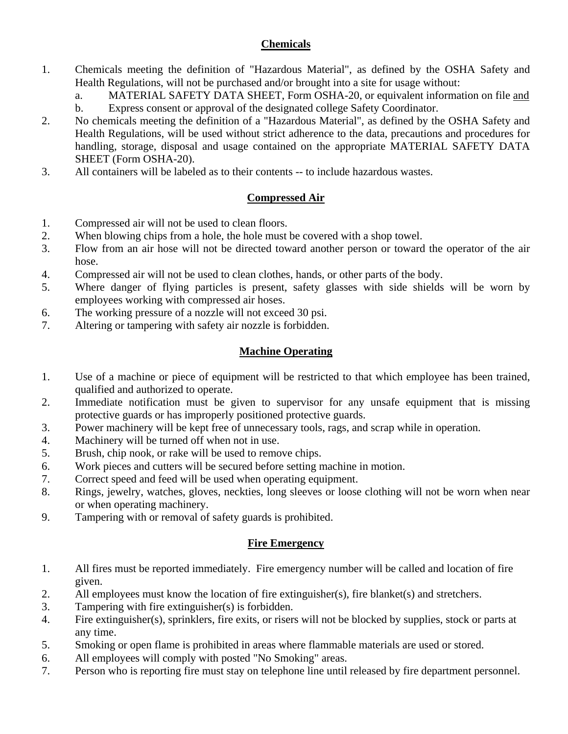#### **Chemicals**

- 1. Chemicals meeting the definition of "Hazardous Material", as defined by the OSHA Safety and Health Regulations, will not be purchased and/or brought into a site for usage without:
	- a. MATERIAL SAFETY DATA SHEET, Form OSHA-20, or equivalent information on file and b. Express consent or approval of the designated college Safety Coordinator.
- 2. No chemicals meeting the definition of a "Hazardous Material", as defined by the OSHA Safety and Health Regulations, will be used without strict adherence to the data, precautions and procedures for handling, storage, disposal and usage contained on the appropriate MATERIAL SAFETY DATA SHEET (Form OSHA-20).
- 3. All containers will be labeled as to their contents -- to include hazardous wastes.

## **Compressed Air**

- 1. Compressed air will not be used to clean floors.
- 2. When blowing chips from a hole, the hole must be covered with a shop towel.
- 3. Flow from an air hose will not be directed toward another person or toward the operator of the air hose.
- 4. Compressed air will not be used to clean clothes, hands, or other parts of the body.
- 5. Where danger of flying particles is present, safety glasses with side shields will be worn by employees working with compressed air hoses.
- 6. The working pressure of a nozzle will not exceed 30 psi.
- 7. Altering or tampering with safety air nozzle is forbidden.

## **Machine Operating**

- 1. Use of a machine or piece of equipment will be restricted to that which employee has been trained, qualified and authorized to operate.
- 2. Immediate notification must be given to supervisor for any unsafe equipment that is missing protective guards or has improperly positioned protective guards.
- 3. Power machinery will be kept free of unnecessary tools, rags, and scrap while in operation.
- 4. Machinery will be turned off when not in use.
- 5. Brush, chip nook, or rake will be used to remove chips.
- 6. Work pieces and cutters will be secured before setting machine in motion.
- 7. Correct speed and feed will be used when operating equipment.
- 8. Rings, jewelry, watches, gloves, neckties, long sleeves or loose clothing will not be worn when near or when operating machinery.
- 9. Tampering with or removal of safety guards is prohibited.

#### **Fire Emergency**

- 1. All fires must be reported immediately. Fire emergency number will be called and location of fire given.
- 2. All employees must know the location of fire extinguisher(s), fire blanket(s) and stretchers.
- 3. Tampering with fire extinguisher(s) is forbidden.
- 4. Fire extinguisher(s), sprinklers, fire exits, or risers will not be blocked by supplies, stock or parts at any time.
- 5. Smoking or open flame is prohibited in areas where flammable materials are used or stored.
- 6. All employees will comply with posted "No Smoking" areas.
- 7. Person who is reporting fire must stay on telephone line until released by fire department personnel.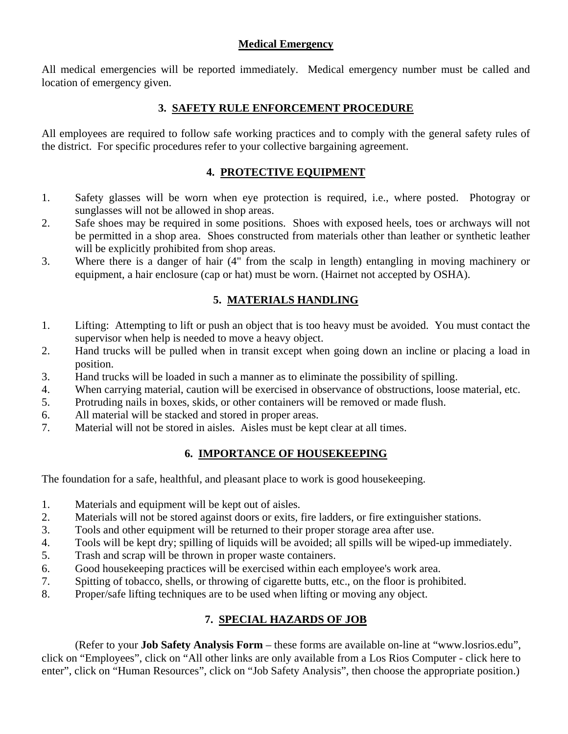#### **Medical Emergency**

All medical emergencies will be reported immediately. Medical emergency number must be called and location of emergency given.

### **3. SAFETY RULE ENFORCEMENT PROCEDURE**

All employees are required to follow safe working practices and to comply with the general safety rules of the district. For specific procedures refer to your collective bargaining agreement.

### **4. PROTECTIVE EQUIPMENT**

- 1. Safety glasses will be worn when eye protection is required, i.e., where posted. Photogray or sunglasses will not be allowed in shop areas.
- 2. Safe shoes may be required in some positions. Shoes with exposed heels, toes or archways will not be permitted in a shop area. Shoes constructed from materials other than leather or synthetic leather will be explicitly prohibited from shop areas.
- 3. Where there is a danger of hair (4" from the scalp in length) entangling in moving machinery or equipment, a hair enclosure (cap or hat) must be worn. (Hairnet not accepted by OSHA).

### **5. MATERIALS HANDLING**

- 1. Lifting: Attempting to lift or push an object that is too heavy must be avoided. You must contact the supervisor when help is needed to move a heavy object.
- 2. Hand trucks will be pulled when in transit except when going down an incline or placing a load in position.
- 3. Hand trucks will be loaded in such a manner as to eliminate the possibility of spilling.
- 4. When carrying material, caution will be exercised in observance of obstructions, loose material, etc.
- 5. Protruding nails in boxes, skids, or other containers will be removed or made flush.
- 6. All material will be stacked and stored in proper areas.
- 7. Material will not be stored in aisles. Aisles must be kept clear at all times.

## **6. IMPORTANCE OF HOUSEKEEPING**

The foundation for a safe, healthful, and pleasant place to work is good housekeeping.

- 1. Materials and equipment will be kept out of aisles.
- 2. Materials will not be stored against doors or exits, fire ladders, or fire extinguisher stations.
- 3. Tools and other equipment will be returned to their proper storage area after use.
- 4. Tools will be kept dry; spilling of liquids will be avoided; all spills will be wiped-up immediately.
- 5. Trash and scrap will be thrown in proper waste containers.
- 6. Good housekeeping practices will be exercised within each employee's work area.
- 7. Spitting of tobacco, shells, or throwing of cigarette butts, etc., on the floor is prohibited.
- 8. Proper/safe lifting techniques are to be used when lifting or moving any object.

## **7. SPECIAL HAZARDS OF JOB**

 (Refer to your **Job Safety Analysis Form** – these forms are available on-line at "www.losrios.edu", click on "Employees", click on "All other links are only available from a Los Rios Computer - click here to enter", click on "Human Resources", click on "Job Safety Analysis", then choose the appropriate position.)